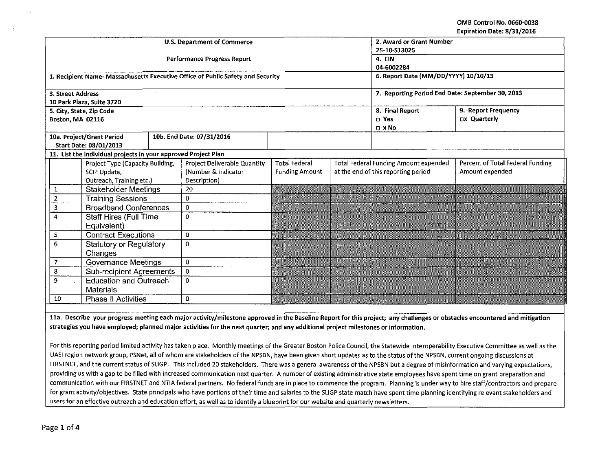## OMB Control No. 0660-0038 Expiration Date: 8/31/2016

|                                                    |                                                                                                                                                                                      |                                                                | <b>U.S. Department of Commerce</b> | 2. Award or Grant Number                                                       |                                                                         |  |                                              |                                  |  |  |  |
|----------------------------------------------------|--------------------------------------------------------------------------------------------------------------------------------------------------------------------------------------|----------------------------------------------------------------|------------------------------------|--------------------------------------------------------------------------------|-------------------------------------------------------------------------|--|----------------------------------------------|----------------------------------|--|--|--|
|                                                    |                                                                                                                                                                                      |                                                                |                                    |                                                                                | 25-10-S13025<br>4. EIN                                                  |  |                                              |                                  |  |  |  |
|                                                    |                                                                                                                                                                                      |                                                                |                                    | Performance Progress Report                                                    |                                                                         |  |                                              |                                  |  |  |  |
|                                                    |                                                                                                                                                                                      |                                                                |                                    |                                                                                | 04-6002284                                                              |  |                                              |                                  |  |  |  |
|                                                    |                                                                                                                                                                                      |                                                                |                                    | 1. Recipient Name-Massachusetts Executive Office of Public Safety and Security | 6. Report Date (MM/DD/YYYY) 10/10/13                                    |  |                                              |                                  |  |  |  |
|                                                    | 3. Street Address                                                                                                                                                                    |                                                                |                                    | 7. Reporting Period End Date: September 30, 2013                               |                                                                         |  |                                              |                                  |  |  |  |
|                                                    |                                                                                                                                                                                      | 10 Park Plaza, Suite 3720                                      |                                    |                                                                                |                                                                         |  |                                              |                                  |  |  |  |
|                                                    | Boston, MA 02116                                                                                                                                                                     | 5. City, State, Zip Code                                       |                                    |                                                                                | 9. Report Frequency<br>8. Final Report<br>Dx Quarterly<br>$\square$ Yes |  |                                              |                                  |  |  |  |
|                                                    |                                                                                                                                                                                      |                                                                |                                    |                                                                                |                                                                         |  | $D \times NO$                                |                                  |  |  |  |
|                                                    |                                                                                                                                                                                      | 10a. Project/Grant Period                                      |                                    | 10b. End Date: 07/31/2016                                                      |                                                                         |  |                                              |                                  |  |  |  |
|                                                    |                                                                                                                                                                                      | <b>Start Date: 08/01/2013</b>                                  |                                    |                                                                                |                                                                         |  |                                              |                                  |  |  |  |
|                                                    |                                                                                                                                                                                      | 11. List the individual projects in your approved Project Plan |                                    |                                                                                |                                                                         |  |                                              |                                  |  |  |  |
|                                                    |                                                                                                                                                                                      | Project Type (Capacity Building,                               |                                    | <b>Project Deliverable Quantity</b>                                            | <b>Total Federal</b>                                                    |  | <b>Total Federal Funding Amount expended</b> | Percent of Total Federal Funding |  |  |  |
| SCIP Update,                                       |                                                                                                                                                                                      |                                                                |                                    | (Number & Indicator                                                            | <b>Funding Amount</b>                                                   |  | at the end of this reporting period          | Amount expended                  |  |  |  |
| Outreach, Training etc.)                           |                                                                                                                                                                                      |                                                                |                                    | Description)                                                                   |                                                                         |  |                                              |                                  |  |  |  |
|                                                    | <b>Stakeholder Meetings</b><br>1<br>$\overline{2}$<br><b>Training Sessions</b>                                                                                                       |                                                                |                                    | 20                                                                             |                                                                         |  |                                              |                                  |  |  |  |
|                                                    |                                                                                                                                                                                      |                                                                |                                    | $\mathbf 0$                                                                    |                                                                         |  |                                              |                                  |  |  |  |
|                                                    | 3                                                                                                                                                                                    | <b>Broadband Conferences</b>                                   |                                    | 0                                                                              |                                                                         |  |                                              |                                  |  |  |  |
| 4<br><b>Staff Hires (Full Time</b>                 |                                                                                                                                                                                      |                                                                |                                    | $\mathbf 0$                                                                    |                                                                         |  |                                              |                                  |  |  |  |
|                                                    |                                                                                                                                                                                      | Equivalent)                                                    |                                    |                                                                                |                                                                         |  |                                              |                                  |  |  |  |
|                                                    | 5                                                                                                                                                                                    | <b>Contract Executions</b>                                     |                                    | $\mathbf 0$                                                                    |                                                                         |  |                                              |                                  |  |  |  |
| $\overline{6}$<br><b>Statutory or Regulatory</b>   |                                                                                                                                                                                      |                                                                |                                    | $\mathbf 0$                                                                    |                                                                         |  |                                              |                                  |  |  |  |
|                                                    |                                                                                                                                                                                      | Changes                                                        |                                    |                                                                                |                                                                         |  |                                              |                                  |  |  |  |
|                                                    | 7                                                                                                                                                                                    | <b>Governance Meetings</b>                                     |                                    | $\circ$                                                                        |                                                                         |  |                                              |                                  |  |  |  |
|                                                    | 8                                                                                                                                                                                    | Sub-recipient Agreements                                       |                                    | $\mathbf 0$                                                                    |                                                                         |  |                                              |                                  |  |  |  |
|                                                    | 9                                                                                                                                                                                    | <b>Education and Outreach</b>                                  |                                    | $\mathbf 0$                                                                    |                                                                         |  |                                              |                                  |  |  |  |
| <b>Materials</b>                                   |                                                                                                                                                                                      |                                                                |                                    |                                                                                |                                                                         |  |                                              |                                  |  |  |  |
| <b>Phase II Activities</b><br>$\overline{0}$<br>10 |                                                                                                                                                                                      |                                                                |                                    |                                                                                |                                                                         |  |                                              |                                  |  |  |  |
|                                                    |                                                                                                                                                                                      |                                                                |                                    |                                                                                |                                                                         |  |                                              |                                  |  |  |  |
|                                                    | 11a. Describe your progress meeting each major activity/milestone approved in the Baseline Report for this project; any challenges or obstacles encountered and mitigation           |                                                                |                                    |                                                                                |                                                                         |  |                                              |                                  |  |  |  |
|                                                    | strategies you have employed; planned major activities for the next quarter; and any additional project milestones or information.                                                   |                                                                |                                    |                                                                                |                                                                         |  |                                              |                                  |  |  |  |
|                                                    |                                                                                                                                                                                      |                                                                |                                    |                                                                                |                                                                         |  |                                              |                                  |  |  |  |
|                                                    | For this reporting period limited activity has taken place. Monthly meetings of the Greater Boston Police Council, the Statewide Interoperability Executive Committee as well as the |                                                                |                                    |                                                                                |                                                                         |  |                                              |                                  |  |  |  |
|                                                    | UASI region network group, PSNet, all of whom are stakeholders of the NPSBN, have been given short updates as to the status of the NPSBN, current ongoing discussions at             |                                                                |                                    |                                                                                |                                                                         |  |                                              |                                  |  |  |  |
|                                                    | FIRSTNET, and the current status of SLIGP. This included 20 stakeholders. There was a general awareness of the NPSBN but a degree of misinformation and varying expectations.        |                                                                |                                    |                                                                                |                                                                         |  |                                              |                                  |  |  |  |

FIRSTNET, and the current status of SLIGP. This included 20 stakeholders. There was a general awareness of the NPSBN but a degree of misinformation and varying expectations, providing us with a gap to be filled with increased communication next quarter. A number of existing administrative state employees have spent time on grant preparation and communication with our FIRSTNET and NTIA federal partners. No federal funds are in place to commence the program. Planning is under way to hire staff/contractors and prepare for grant activity/objectives. State principals who have portions of their time and salaries to the SLIGP state match have spent time planning identifying relevant stakeholders and users for an effective outreach and education effort, as well as to identify a blueprint for our website and quarterly newsletters.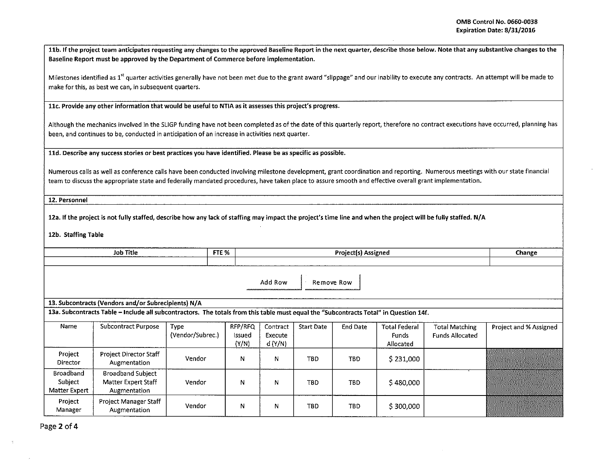11b. If the project team anticipates requesting any changes to the approved Baseline Report in the next quarter, describe those below. Note that any substantive changes to the Baseline Report must be approved by the Department of Commerce before implementation.

Milestones identified as 1<sup>st</sup> quarter activities generally have not been met due to the grant award "slippage" and our inability to execute any contracts. An attempt will be made to make for this, as best we can, in subsequent quarters.

11c. Provide any other information that would be useful to NTIA as it assesses this project's progress.

Although the mechanics involved in the SLIGP funding have not been completed as of the date of this quarterly report, therefore no contract executions have occurred, planning has been, and continues to be, conducted in anticipation of an increase in activities next quarter.

lld. Describe any success stories or best practices you have identified. Please be as specific as possible.

Numerous calls as well as conference calls have been conducted involving milestone development, grant coordination and reporting. Numerous meetings with our state financial team to discuss the appropriate state and federally mandated procedures, have taken place to assure smooth and effective overall grant implementation.

12. Personnel

12a. If the project is not fully staffed, describe how any lack of staffing may impact the project's time line and when the project will be fully staffed. N/A

12b. Staffing Table

| FTE %<br><b>Job Title</b>                           |                                                                                                                                                                                              |                          |                            |                               | Change            |                 |                                                   |                                                 |                        |  |  |  |  |
|-----------------------------------------------------|----------------------------------------------------------------------------------------------------------------------------------------------------------------------------------------------|--------------------------|----------------------------|-------------------------------|-------------------|-----------------|---------------------------------------------------|-------------------------------------------------|------------------------|--|--|--|--|
|                                                     |                                                                                                                                                                                              |                          |                            |                               |                   |                 |                                                   |                                                 |                        |  |  |  |  |
|                                                     | Add Row<br>Remove Row                                                                                                                                                                        |                          |                            |                               |                   |                 |                                                   |                                                 |                        |  |  |  |  |
|                                                     | 13. Subcontracts (Vendors and/or Subrecipients) N/A<br>13a. Subcontracts Table - Include all subcontractors. The totals from this table must equal the "Subcontracts Total" in Question 14f. |                          |                            |                               |                   |                 |                                                   |                                                 |                        |  |  |  |  |
|                                                     |                                                                                                                                                                                              |                          |                            |                               |                   |                 |                                                   |                                                 |                        |  |  |  |  |
| Name                                                | Subcontract Purpose                                                                                                                                                                          | Type<br>(Vendor/Subrec.) | RFP/RFQ<br>Issued<br>(Y/N) | Contract<br>Execute<br>d(Y/N) | <b>Start Date</b> | <b>End Date</b> | <b>Total Federal</b><br><b>Funds</b><br>Allocated | <b>Total Matching</b><br><b>Funds Allocated</b> | Project and % Assigned |  |  |  |  |
| Project<br>Director                                 | <b>Project Director Staff</b><br>Augmentation                                                                                                                                                | Vendor                   | N                          | N                             | <b>TBD</b>        | <b>TBD</b>      | \$231,000                                         |                                                 |                        |  |  |  |  |
| <b>Broadband</b><br>Subject<br><b>Matter Expert</b> | <b>Broadband Subject</b><br>Matter Expert Staff<br>Augmentation                                                                                                                              | Vendor                   | N                          | N                             | TBD               | <b>TBD</b>      | \$480,000                                         |                                                 |                        |  |  |  |  |
| Project<br>Manager                                  | Project Manager Staff<br>Augmentation                                                                                                                                                        | Vendor                   | N                          | N                             | TBD               | TBD             | \$300,000                                         |                                                 |                        |  |  |  |  |

Page 2 of 4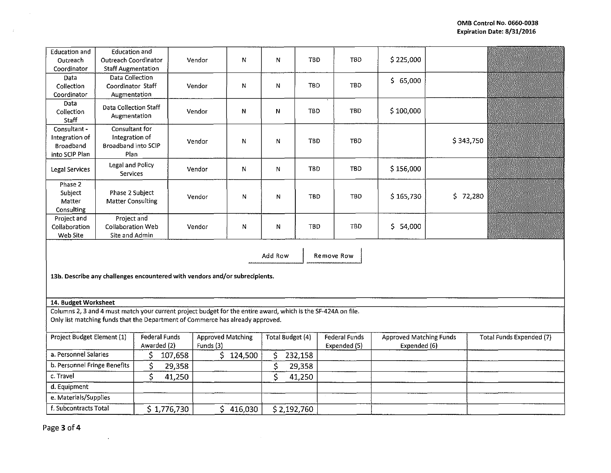| Education and<br>Outreach                                                                            | <b>Education and</b><br><b>Outreach Coordinator</b>                                                                                                                                             |                                     |         | Vendor                                | N         | N                       | <b>TBD</b>  |                                      | TBD        | \$225,000                                      |           |                          |  |
|------------------------------------------------------------------------------------------------------|-------------------------------------------------------------------------------------------------------------------------------------------------------------------------------------------------|-------------------------------------|---------|---------------------------------------|-----------|-------------------------|-------------|--------------------------------------|------------|------------------------------------------------|-----------|--------------------------|--|
| Coordinator                                                                                          | <b>Staff Augmentation</b>                                                                                                                                                                       |                                     |         |                                       |           |                         |             |                                      |            |                                                |           |                          |  |
| Data<br>Collection<br>Coordinator                                                                    | Data Collection<br>Coordinator Staff<br>Augmentation                                                                                                                                            |                                     |         | Vendor                                | N         | N                       | <b>TBD</b>  |                                      | TBD        | \$65,000                                       |           |                          |  |
| Data<br>Collection<br>Staff                                                                          | Data Collection Staff<br>Augmentation                                                                                                                                                           |                                     |         | Vendor                                | ${\sf N}$ | N                       | TBD         |                                      | TBD        | \$100,000                                      |           |                          |  |
| Consultant -<br>Integration of<br><b>Broadband</b><br>into SCIP Plan                                 | Consultant for<br>Integration of<br>Broadband into SCIP<br>Plan                                                                                                                                 |                                     |         | Vendor                                | N         | N                       | <b>TBD</b>  |                                      | <b>TBD</b> |                                                | \$343,750 |                          |  |
| Legal Services                                                                                       | Legal and Policy<br><b>Services</b>                                                                                                                                                             |                                     |         | Vendor                                | N         | N                       | <b>TBD</b>  |                                      | <b>TBD</b> | \$156,000                                      |           |                          |  |
| Phase 2<br>Subject<br>Matter<br>Consulting                                                           | Phase 2 Subject<br>Matter Consulting                                                                                                                                                            |                                     |         | Vendor                                | N         | N                       | <b>TBD</b>  |                                      | <b>TBD</b> | \$165,730                                      | \$72,280  |                          |  |
| Project and<br>Collaboration<br>Web Site                                                             | Project and<br>Collaboration Web<br>Site and Admin                                                                                                                                              |                                     |         | Vendor                                | N         | N                       | TBD         |                                      | <b>TBD</b> | \$54,000                                       |           |                          |  |
| Add Row<br>Remove Row<br>13b. Describe any challenges encountered with vendors and/or subrecipients. |                                                                                                                                                                                                 |                                     |         |                                       |           |                         |             |                                      |            |                                                |           |                          |  |
| 14. Budget Worksheet                                                                                 |                                                                                                                                                                                                 |                                     |         |                                       |           |                         |             |                                      |            |                                                |           |                          |  |
|                                                                                                      | Columns 2, 3 and 4 must match your current project budget for the entire award, which is the SF-424A on file.<br>Only list matching funds that the Department of Commerce has already approved. |                                     |         |                                       |           |                         |             |                                      |            |                                                |           |                          |  |
| Project Budget Element (1)                                                                           |                                                                                                                                                                                                 | <b>Federal Funds</b><br>Awarded (2) |         | <b>Approved Matching</b><br>Funds (3) |           | Total Budget (4)        |             | <b>Federal Funds</b><br>Expended (5) |            | <b>Approved Matching Funds</b><br>Expended (6) |           | Total Funds Expended (7) |  |
| a. Personnel Salaries                                                                                |                                                                                                                                                                                                 | \$                                  | 107,658 |                                       | \$124,500 | \$                      | 232,158     |                                      |            |                                                |           |                          |  |
| b. Personnel Fringe Benefits                                                                         |                                                                                                                                                                                                 | \$                                  | 29,358  |                                       |           | \$                      | 29,358      |                                      |            |                                                |           |                          |  |
| c. Travel                                                                                            |                                                                                                                                                                                                 | \$                                  | 41,250  |                                       |           | $\overline{\mathsf{S}}$ | 41,250      |                                      |            |                                                |           |                          |  |
| d. Equipment                                                                                         |                                                                                                                                                                                                 |                                     |         |                                       |           |                         |             |                                      |            |                                                |           |                          |  |
| e. Materials/Supplies                                                                                |                                                                                                                                                                                                 |                                     |         |                                       |           |                         |             |                                      |            |                                                |           |                          |  |
| f. Subcontracts Total                                                                                |                                                                                                                                                                                                 | \$1,776,730                         |         |                                       | \$416,030 |                         | \$2,192,760 |                                      |            |                                                |           |                          |  |

 $\mathcal{A}^{\mathcal{A}}$ 

 $\sim$